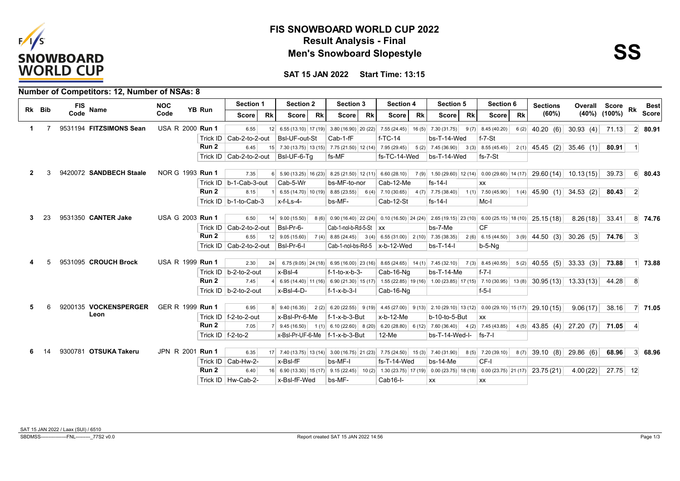

## **Result Analysis - Final FIS SNOWBOARD WORLD CUP 2022 Men's Snowboard Slopestyle**

**SAT 15 JAN 2022 Start Time: 13:15**

| Rk Bib         |      | FIS Name                | <b>NOC</b>       | YB Run           | Section 1                   |           | <b>Section 2</b>  |           | Section 3                                                  |           | <b>Section 4</b>               |           | Section 5                                                                                          |           | Section 6                                                                                                                                                                         |           | <b>Sections</b> | Overall                          | <b>Score</b>       | Rk             | <b>Best</b>     |
|----------------|------|-------------------------|------------------|------------------|-----------------------------|-----------|-------------------|-----------|------------------------------------------------------------|-----------|--------------------------------|-----------|----------------------------------------------------------------------------------------------------|-----------|-----------------------------------------------------------------------------------------------------------------------------------------------------------------------------------|-----------|-----------------|----------------------------------|--------------------|----------------|-----------------|
|                | Code |                         | Code             |                  | <b>Score</b>                | <b>Rk</b> | <b>Score</b>      | <b>Rk</b> | <b>Score</b>                                               | <b>Rk</b> | <b>Score</b>                   | <b>Rk</b> | <b>Score</b>                                                                                       | <b>Rk</b> | <b>Score</b>                                                                                                                                                                      | <b>Rk</b> | (60%)           |                                  | $(40\%)$ $(100\%)$ |                | <b>Score</b>    |
| 1.             |      | 9531194 FITZSIMONS Sean | USA R 2000 Run 1 |                  | 6.55                        |           |                   |           |                                                            |           |                                |           |                                                                                                    |           | $9(7)$ 8.45 (40.20)                                                                                                                                                               |           |                 | $6(2)$ 40.20 (6) 30.93 (4) 71.13 |                    |                | $2 \, 80.91$    |
|                |      |                         |                  |                  | Trick ID   Cab-2-to-2-out   |           | BsI-UF-out-St     |           | Cab-1-fF                                                   |           | $f-TC-14$                      |           | bs-T-14-Wed                                                                                        |           | $f - 7-St$                                                                                                                                                                        |           |                 |                                  |                    |                |                 |
|                |      |                         |                  | Run 2            | 6.45                        |           |                   |           |                                                            |           |                                |           | 15 7.30 (13.75) 13 (15) 7.75 (21.50) 12 (14) 7.95 (29.45) 5 (2) 7.45 (36.90) 3 (3) 8.55 (45.45)    |           |                                                                                                                                                                                   |           |                 | $2(1)$ 45.45 (2) 35.46 (1)       | $80.91$ 1          |                |                 |
|                |      |                         |                  |                  | Trick ID   Cab-2-to-2-out   |           | BsI-UF-6-Tq       |           | fs-MF                                                      |           | fs-TC-14-Wed                   |           | bs-T-14-Wed                                                                                        |           | fs-7-St                                                                                                                                                                           |           |                 |                                  |                    |                |                 |
| $\overline{2}$ |      | 9420072 SANDBECH Staale | NOR G 1993 Run 1 |                  | 7.35                        |           |                   |           |                                                            |           |                                |           |                                                                                                    |           | $6\begin{bmatrix} 6 & 5.90 & (13.25) & 16 & (23) & 8.25 & (21.50) & 12 & (11) & 6.60 & (28.10) & 7 & (9) & 1.50 & (29.60) & 12 & (14) & 0.00 & (29.60) & 14 & (17) \end{bmatrix}$ |           |                 | $29.60(14)$ 10.13(15)            | 39.73              |                | 6 80.43         |
|                |      |                         |                  |                  | Trick ID $ b-1-Cab-3-out$   |           | Cab-5-Wr          |           | bs-MF-to-nor                                               |           | Cab-12-Me                      |           | $fs-14-1$                                                                                          |           | XX                                                                                                                                                                                |           |                 |                                  |                    |                |                 |
|                |      |                         |                  | Run 2            | 8.15                        |           |                   |           | $6.55(14.70)$ 10 (19) 8.85 (23.55)                         |           | $6(4)$ 7.10 (30.65)            |           | $4(7)$ 7.75 (38.40)                                                                                |           | $1(1)$ 7.50 (45.90)                                                                                                                                                               |           |                 | $1(4)$ 45.90 (1) 34.53 (2)       | 80.43              | $\overline{2}$ |                 |
|                |      |                         |                  |                  | Trick ID $ b-1-to-Cab-3 $   |           | $x-f-Ls-4-$       |           | bs-MF-                                                     |           | Cab-12-St                      |           | $fs-14-1$                                                                                          |           | Mc-I                                                                                                                                                                              |           |                 |                                  |                    |                |                 |
| 3              |      | 9531350 CANTER Jake     | USA G 2003 Run 1 |                  | 6.50                        |           | $14$ 9.00 (15.50) |           |                                                            |           |                                |           |                                                                                                    |           | $8(6)$ 0.90 (16.40) 22 (24) 0.10 (16.50) 24 (24) 2.65 (19.15) 23 (10) 6.00 (25.15) 18 (10)                                                                                        |           | 25.15(18)       | 8.26(18)                         | 33.41              |                | 8 74.76         |
|                |      |                         |                  |                  | Trick ID   Cab-2-to-2-out   |           | BsI-Pr-6-         |           | Cab-1-nol-b-Rd-5-St $\vert$ xx                             |           |                                |           | bs-7-Me                                                                                            |           | <b>CF</b>                                                                                                                                                                         |           |                 |                                  |                    |                |                 |
|                |      |                         |                  | Run <sub>2</sub> | 6.55                        |           | $12$ 9.05 (15.60) |           | $7(4)$ 8.85 (24.45) 3 (4) 6.55 (31.00) 2 (10) 7.35 (38.35) |           |                                |           |                                                                                                    |           | $2(6)$ 6.15 (44.50)                                                                                                                                                               |           |                 | $3(9)$ 44.50 (3) 30.26 (5) 74.76 |                    | 3 <sup>l</sup> |                 |
|                |      |                         |                  |                  | Trick ID $ $ Cab-2-to-2-out |           | BsI-Pr-6-I        |           |                                                            |           | Cab-1-nol-bs-Rd-5 $x-b-12-Wed$ |           | $bs-T-14-I$                                                                                        |           | b-5-Ng                                                                                                                                                                            |           |                 |                                  |                    |                |                 |
|                |      |                         |                  |                  |                             |           |                   |           |                                                            |           |                                |           |                                                                                                    |           |                                                                                                                                                                                   |           |                 |                                  |                    |                |                 |
|                |      | 9531095 CROUCH Brock    | USA R 1999 Run 1 |                  | 2.30                        | 24        |                   |           |                                                            |           |                                |           | 6.75 (9.05) 24 (18) 6.95 (16.00) 23 (16) 8.65 (24.65) 14 (1) 7.45 (32.10) 7 (3) 8.45 (40.55)       |           |                                                                                                                                                                                   |           |                 | $5(2)$ 40.55 (5) 33.33 (3)       | 73.88              |                | 73.88           |
|                |      |                         |                  |                  | Trick ID $ b-2-t$ o-2-out   |           | $x$ -BsI-4        |           | f-1-to-x-b-3-                                              |           | Cab-16-Ng                      |           | $bs-T-14-Me$                                                                                       |           | $f - 7 - I$                                                                                                                                                                       |           |                 |                                  |                    |                |                 |
|                |      |                         |                  | Run 2            | 7.45                        |           |                   |           |                                                            |           |                                |           | 4 6.95 (14.40) 11 (16) 6.90 (21.30) 15 (17) 1.55 (22.85) 19 (16) 1.00 (23.85) 17 (15) 7.10 (30.95) |           |                                                                                                                                                                                   |           |                 | $13(8)$ 30.95 (13) 13.33 (13)    | 44.28 8            |                |                 |
|                |      |                         |                  |                  | Trick ID   b-2-to-2-out     |           | x-BsI-4-D-        |           | $f - 1 - x - b - 3 - I$                                    |           | Cab-16-Ng                      |           |                                                                                                    |           | $f-5-1$                                                                                                                                                                           |           |                 |                                  |                    |                |                 |
| 5              |      | 9200135 VOCKENSPERGER   | GER R 1999 Run 1 |                  | 6.95                        |           | 8 9.40 (16.35)    |           |                                                            |           |                                |           |                                                                                                    |           | 2 (2) 6.20 (22.55) 9 (19) 4.45 (27.00) 9 (13) 2.10 (29.10) 13 (12) 0.00 (29.10) 15 (17)                                                                                           |           | 29.10(15)       | 9.06(17)                         | 38.16              |                | 7 71.05         |
|                |      | Leon                    |                  |                  | Trick ID $ f-2-t$ o-2-out   |           | x-Bsl-Pr-6-Me     |           | f-1-x-b-3-But                                              |           | $x-b-12-Me$                    |           | b-10-to-5-But                                                                                      |           | $\mathsf{xx}$                                                                                                                                                                     |           |                 |                                  |                    |                |                 |
|                |      |                         |                  | Run 2            | 7.05                        |           | $7$ 9.45 (16.50)  |           |                                                            |           |                                |           | $1(1)$ 6.10 (22.60) 8 (20) 6.20 (28.80) 6 (12) 7.60 (36.40)                                        |           | $4(2)$ 7.45 (43.85)                                                                                                                                                               |           |                 | $4(5)$ 43.85 (4) 27.20 (7) 71.05 |                    | $\vert$        |                 |
|                |      |                         |                  |                  | Trick ID $ f-2-t$ o-2       |           |                   |           | $x$ -BsI-Pr-UF-6-Me $ f$ -1-x-b-3-But                      |           | $12-Me$                        |           | $bs-T-14-Wed-I-$ fs-7-                                                                             |           |                                                                                                                                                                                   |           |                 |                                  |                    |                |                 |
|                |      | 9300781 OTSUKA Takeru   | JPN R 2001 Run 1 |                  | 6.35                        |           |                   |           |                                                            |           |                                |           | 17 7.40 (13.75) 13 (14) 3.00 (16.75) 21 (23) 7.75 (24.50) 15 (3) 7.40 (31.90)                      |           | $8(5)$ 7.20 (39.10)                                                                                                                                                               |           |                 | $8(7)$ 39.10 (8) 29.86 (6)       | 68.96              |                | $3 \quad 68.96$ |
|                |      |                         |                  |                  | Trick ID   Cab-Hw-2-        |           | x-Bsl-fF          |           | bs-MF-I                                                    |           | fs-T-14-Wed                    |           | $bs-14-Me$                                                                                         |           | CF-I                                                                                                                                                                              |           |                 |                                  |                    |                |                 |
|                |      |                         |                  | Run <sub>2</sub> | 6.40                        |           |                   |           |                                                            |           |                                |           |                                                                                                    |           | 16 6.90 (13.30) 15 (17) 9.15 (22.45) 10 (2) 1.30 (23.75) 17 (19) 0.00 (23.75) 18 (18) 0.00 (23.75) 21 (17)                                                                        |           |                 | $23.75(21)$ 4.00 (22)            | 27.75 12           |                |                 |
|                |      |                         |                  |                  | Trick ID   Hw-Cab-2-        |           | x-BsI-fF-Wed      |           | bs-MF-                                                     |           | Cab16-I-                       |           | XX                                                                                                 |           | XX                                                                                                                                                                                |           |                 |                                  |                    |                |                 |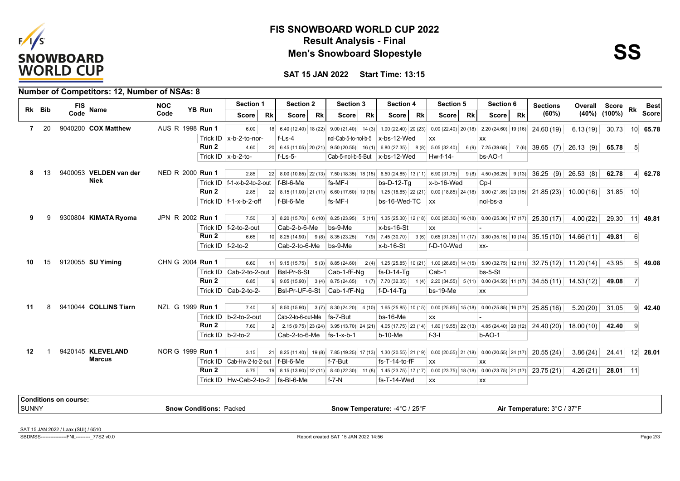

## **Result Analysis - Final FIS SNOWBOARD WORLD CUP 2022 Men's Snowboard Slopestyle**



**SAT 15 JAN 2022 Start Time: 13:15**

|                |    |                              | Number of Competitors: 12, Number of NSAs: 8 |                                |                      |                                       |    |                                                                             |    |                                                 |           |                                    |           |                                                                                                              |           |                                            |           |                                                                                                                                            |          |                    |                  |                 |
|----------------|----|------------------------------|----------------------------------------------|--------------------------------|----------------------|---------------------------------------|----|-----------------------------------------------------------------------------|----|-------------------------------------------------|-----------|------------------------------------|-----------|--------------------------------------------------------------------------------------------------------------|-----------|--------------------------------------------|-----------|--------------------------------------------------------------------------------------------------------------------------------------------|----------|--------------------|------------------|-----------------|
| Rk Bib         |    | <b>FIS</b><br>Code           | Name                                         | <b>NOC</b>                     | YB Run               | Section 1                             |    | <b>Section 2</b>                                                            |    | <b>Section 3</b>                                |           | <b>Section 4</b>                   |           | Section 5                                                                                                    |           | Section 6                                  |           | <b>Sections</b>                                                                                                                            | Overall  | Score              | <b>Rk</b>        | <b>Best</b>     |
|                |    |                              |                                              | Code                           |                      | <b>Score</b>                          | Rk | <b>Score</b>                                                                | Rk | Score                                           | <b>Rk</b> | <b>Score</b>                       | <b>Rk</b> | <b>Score</b>                                                                                                 | <b>Rk</b> | <b>Score</b>                               | <b>Rk</b> | (60%)                                                                                                                                      |          | $(40\%)$ $(100\%)$ |                  | <b>Score</b>    |
| $\overline{7}$ | 20 |                              | 9040200 COX Matthew                          | AUS R 1998 Run 1               |                      | 6.00                                  |    |                                                                             |    |                                                 |           |                                    |           | 18 6.40 (12.40) 18 (22) 9.00 (21.40) 14 (3) 1.00 (22.40) 20 (23) 0.00 (22.40) 20 (18) 2.20 (24.60) 19 (16)   |           |                                            |           | 24.60 (19)                                                                                                                                 | 6.13(19) | 30.73              |                  | 10 65.78        |
|                |    |                              |                                              |                                |                      | Trick ID $x-b-2-to-nor-$              |    | $f-Ls-4$                                                                    |    |                                                 |           | nol-Cab-5-to-nol-b-5   x-bs-12-Wed |           | XX                                                                                                           |           | <b>XX</b>                                  |           |                                                                                                                                            |          |                    |                  |                 |
|                |    |                              |                                              |                                | Run <sub>2</sub>     | 4.60                                  |    | 20 6.45 (11.05) 20 (21) 9.50 (20.55) 16 (1) 6.80 (27.35) 8 (8) 5.05 (32.40) |    |                                                 |           |                                    |           |                                                                                                              |           | $6(9)$ 7.25 (39.65)                        |           | $7(6)$ 39.65 (7) 26.13 (9)                                                                                                                 |          | 65.78              | 5 <sup>1</sup>   |                 |
|                |    |                              |                                              |                                |                      | Trick ID $x-b-2-to-$                  |    | $f-Ls-5-$                                                                   |    |                                                 |           | Cab-5-nol-b-5-But $x$ -bs-12-Wed   |           | Hw-f-14-                                                                                                     |           | $bs-AO-1$                                  |           |                                                                                                                                            |          |                    |                  |                 |
|                |    |                              |                                              |                                |                      |                                       |    |                                                                             |    |                                                 |           |                                    |           |                                                                                                              |           |                                            |           |                                                                                                                                            |          |                    |                  |                 |
| 8              | 13 |                              | 9400053 VELDEN van der<br><b>Niek</b>        | NED R 2000 Run 1               |                      | 2.85                                  |    |                                                                             |    |                                                 |           |                                    |           |                                                                                                              |           |                                            |           | 22 8.00 (10.85) 22 (13) 7.50 (18.35) 18 (15) 6.50 (24.85) 13 (11) 6.90 (31.75) 9 (8) 4.50 (36.25) 9 (13) 36.25 (9) 26.53 (8)               |          | 62.78              |                  | $4 \mid 62.78$  |
|                |    |                              |                                              |                                | Run 2                | Trick ID $ f-1-x-b-2-to-2-out$        |    | f-BI-6-Me                                                                   |    | fs-MF-I                                         |           | $bs-D-12-Tg$                       |           | x-b-16-Wed                                                                                                   |           | $Cp-I$                                     |           |                                                                                                                                            |          |                    |                  |                 |
|                |    |                              |                                              |                                |                      | 2.85                                  |    |                                                                             |    |                                                 |           |                                    |           |                                                                                                              |           |                                            |           | 22 8.15 (11.00) 21 (11) 6.60 (17.60) 19 (18) 1.25 (18.85) 22 (21) 0.00 (18.85) 24 (18) 3.00 (21.85) 23 (15) 21.85 (23) 10.00 (16) 31.85 10 |          |                    |                  |                 |
|                |    |                              |                                              |                                |                      | Trick ID $ f-1-x-b-2-off $            |    | f-BI-6-Me                                                                   |    | fs-MF-I                                         |           | bs-16-Wed-TC $\vert$ xx            |           |                                                                                                              |           | nol-bs-a                                   |           |                                                                                                                                            |          |                    |                  |                 |
| 9              |    |                              | 9300804 KIMATA Ryoma                         | JPN R 2002 Run 1               |                      | 7.50                                  |    |                                                                             |    |                                                 |           |                                    |           |                                                                                                              |           |                                            |           | 25.30(17)                                                                                                                                  | 4.00(22) | 29.30 11 49.81     |                  |                 |
|                |    |                              |                                              |                                |                      | Trick ID   f-2-to-2-out               |    | Cab-2-b-6-Me                                                                |    | bs-9-Me                                         |           | x-bs-16-St                         |           | XX                                                                                                           |           |                                            |           |                                                                                                                                            |          |                    |                  |                 |
|                |    |                              |                                              |                                | Run 2                | 6.65                                  |    | $10 \mid 8.25(14.90) \mid$                                                  |    | $9(8)$ 8.35 (23.25)                             |           | $7(9)$ 7.45 (30.70)                |           |                                                                                                              |           |                                            |           | $3(6)$ 0.65 (31.35) 11 (17) 3.80 (35.15) 10 (14) 35.15 (10) 14.66 (11)                                                                     |          | 49.81              | $6 \overline{6}$ |                 |
|                |    |                              |                                              |                                | Trick ID $f-2-t$ o-2 |                                       |    | Cab-2-to-6-Me                                                               |    | bs-9-Me                                         |           | x-b-16-St                          |           | f-D-10-Wed                                                                                                   |           | XX-                                        |           |                                                                                                                                            |          |                    |                  |                 |
|                |    |                              |                                              |                                |                      |                                       |    |                                                                             |    |                                                 |           |                                    |           |                                                                                                              |           |                                            |           |                                                                                                                                            |          |                    |                  |                 |
| 10             | 15 |                              | 9120055 SU Yiming                            | CHN G 2004 Run 1               |                      | 6.60                                  |    |                                                                             |    |                                                 |           |                                    |           |                                                                                                              |           |                                            |           | $32.75(12)$ 11.20(14)                                                                                                                      |          | 43.95              |                  | $5 \, 49.08$    |
|                |    |                              |                                              |                                |                      | Trick ID $ $ Cab-2-to-2-out           |    | BsI-Pr-6-St                                                                 |    | Cab-1-fF-Ng                                     |           | $fs-D-14-Tq$                       |           | Cab-1                                                                                                        |           | $bs-5-St$                                  |           |                                                                                                                                            |          |                    |                  |                 |
|                |    |                              |                                              |                                | Run 2                | 6.85                                  |    |                                                                             |    |                                                 |           |                                    |           | 9 9.05 (15.90) 3 (4) 8.75 (24.65) 1 (7) 7.70 (32.35) 1 (4) 2.20 (34.55) 5 (11) 0.00 (34.55) 11 (17)          |           |                                            |           | $34.55(11)$ 14.53(12)                                                                                                                      |          | 49.08              | $\overline{7}$   |                 |
|                |    |                              |                                              |                                |                      | Trick ID $\vert$ Cab-2-to-2-          |    | BsI-Pr-UF-6-St                                                              |    | Cab-1-fF-Ng                                     |           | $f-D-14-Ta$                        |           | $bs-19-Me$                                                                                                   |           | <b>XX</b>                                  |           |                                                                                                                                            |          |                    |                  |                 |
| 11             |    |                              | 9410044 COLLINS Tiarn                        | NZL G 1999 Run 1               |                      | 7.40                                  |    | $5$ 8.50 (15.90)                                                            |    | $3(7)$ 8.30 (24.20) 4 (10) 1.65 (25.85) 10 (15) |           |                                    |           |                                                                                                              |           | $0.00(25.85)$ 15 (18) 0.00 (25.85) 16 (17) |           | 25.85(16)                                                                                                                                  | 5.20(20) | 31.05              |                  | $9 \mid 42.40$  |
|                |    |                              |                                              |                                |                      | Trick ID $ b-2-t$ o-2-out             |    | Cab-2-to-6-out-Me                                                           |    | fs-7-But                                        |           | $bs-16-Me$                         |           | <b>XX</b>                                                                                                    |           |                                            |           |                                                                                                                                            |          |                    |                  |                 |
|                |    |                              |                                              |                                | Run 2                | 7.60                                  |    |                                                                             |    |                                                 |           |                                    |           |                                                                                                              |           |                                            |           | 2 2.15 (9.75) 23 (24) 3.95 (13.70) 24 (21) 4.05 (17.75) 23 (14) 1.80 (19.55) 22 (13) 4.85 (24.40) 20 (12) 24.40 (20) 18.00 (10)            |          | 42.40              | - 9              |                 |
|                |    |                              |                                              |                                |                      | Trick ID $\vert$ b-2-to-2             |    | Cab-2-to-6-Me                                                               |    | $ fs-1-x-b-1 $                                  |           | $b-10-Me$                          |           | $f-3-1$                                                                                                      |           | $b-AO-1$                                   |           |                                                                                                                                            |          |                    |                  |                 |
|                |    |                              |                                              |                                |                      |                                       |    |                                                                             |    |                                                 |           |                                    |           |                                                                                                              |           |                                            |           |                                                                                                                                            |          |                    |                  |                 |
| 12             |    |                              | 9420145 KLEVELAND                            | NOR G 1999 Run 1               |                      | 3.15                                  |    |                                                                             |    |                                                 |           |                                    |           | 21 8.25 (11.40) 19 (8) 7.85 (19.25) 17 (13) 1.30 (20.55) 21 (19) 0.00 (20.55) 21 (18) 0.00 (20.55) 24 (17)   |           |                                            |           | 20.55(24)                                                                                                                                  | 3.86(24) | 24.41              |                  | $12 \mid 28.01$ |
|                |    |                              | <b>Marcus</b>                                |                                |                      | Trick ID $\vert$ Cab-Hw-2-to-2-out    |    | $ f-BI-6-Me $                                                               |    | f-7-But                                         |           | $fs-T-14-to-fF$                    |           | XX                                                                                                           |           | XX                                         |           |                                                                                                                                            |          |                    |                  |                 |
|                |    |                              |                                              |                                | Run 2                | 5.75                                  |    |                                                                             |    |                                                 |           |                                    |           | 19  8.15 (13.90) 12 (11)  8.40 (22.30) 11 (8) 1.45 (23.75) 17 (17) 0.00 (23.75) 18 (18) 0.00 (23.75) 21 (17) |           |                                            |           | 23.75(21)                                                                                                                                  | 4.26(21) | $28.01$ 11         |                  |                 |
|                |    |                              |                                              |                                |                      | Trick ID $ Hw-Cab-2-to-2 $ fs-BI-6-Me |    |                                                                             |    | $f - 7 - N$                                     |           | fs-T-14-Wed                        |           | <b>XX</b>                                                                                                    |           | XX                                         |           |                                                                                                                                            |          |                    |                  |                 |
|                |    |                              |                                              |                                |                      |                                       |    |                                                                             |    |                                                 |           |                                    |           |                                                                                                              |           |                                            |           |                                                                                                                                            |          |                    |                  |                 |
| <b>SUNNY</b>   |    | <b>Conditions on course:</b> |                                              | <b>Snow Conditions: Packed</b> |                      |                                       |    |                                                                             |    |                                                 |           | Snow Temperature: -4°C / 25°F      |           |                                                                                                              |           |                                            |           | Air Temperature: 3°C / 37°F                                                                                                                |          |                    |                  |                 |
|                |    |                              |                                              |                                |                      |                                       |    |                                                                             |    |                                                 |           |                                    |           |                                                                                                              |           |                                            |           |                                                                                                                                            |          |                    |                  |                 |